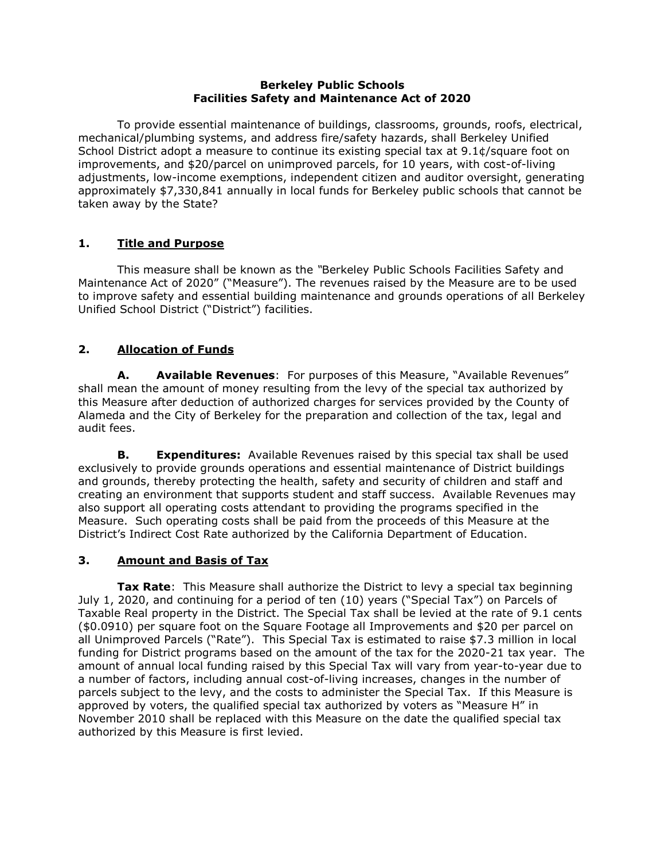#### **Berkeley Public Schools Facilities Safety and Maintenance Act of 2020**

To provide essential maintenance of buildings, classrooms, grounds, roofs, electrical, mechanical/plumbing systems, and address fire/safety hazards, shall Berkeley Unified School District adopt a measure to continue its existing special tax at 9.1¢/square foot on improvements, and \$20/parcel on unimproved parcels, for 10 years, with cost-of-living adjustments, low-income exemptions, independent citizen and auditor oversight, generating approximately \$7,330,841 annually in local funds for Berkeley public schools that cannot be taken away by the State?

## **1. Title and Purpose**

This measure shall be known as the *"*Berkeley Public Schools Facilities Safety and Maintenance Act of 2020" ("Measure"). The revenues raised by the Measure are to be used to improve safety and essential building maintenance and grounds operations of all Berkeley Unified School District ("District") facilities.

## **2. Allocation of Funds**

**A. Available Revenues**:For purposes of this Measure, "Available Revenues" shall mean the amount of money resulting from the levy of the special tax authorized by this Measure after deduction of authorized charges for services provided by the County of Alameda and the City of Berkeley for the preparation and collection of the tax, legal and audit fees.

**B. Expenditures:** Available Revenues raised by this special tax shall be used exclusively to provide grounds operations and essential maintenance of District buildings and grounds, thereby protecting the health, safety and security of children and staff and creating an environment that supports student and staff success. Available Revenues may also support all operating costs attendant to providing the programs specified in the Measure. Such operating costs shall be paid from the proceeds of this Measure at the District's Indirect Cost Rate authorized by the California Department of Education.

### **3. Amount and Basis of Tax**

**Tax Rate**: This Measure shall authorize the District to levy a special tax beginning July 1, 2020, and continuing for a period of ten (10) years ("Special Tax") on Parcels of Taxable Real property in the District. The Special Tax shall be levied at the rate of 9.1 cents (\$0.0910) per square foot on the Square Footage all Improvements and \$20 per parcel on all Unimproved Parcels ("Rate"). This Special Tax is estimated to raise \$7.3 million in local funding for District programs based on the amount of the tax for the 2020-21 tax year. The amount of annual local funding raised by this Special Tax will vary from year-to-year due to a number of factors, including annual cost-of-living increases, changes in the number of parcels subject to the levy, and the costs to administer the Special Tax. If this Measure is approved by voters, the qualified special tax authorized by voters as "Measure H" in November 2010 shall be replaced with this Measure on the date the qualified special tax authorized by this Measure is first levied.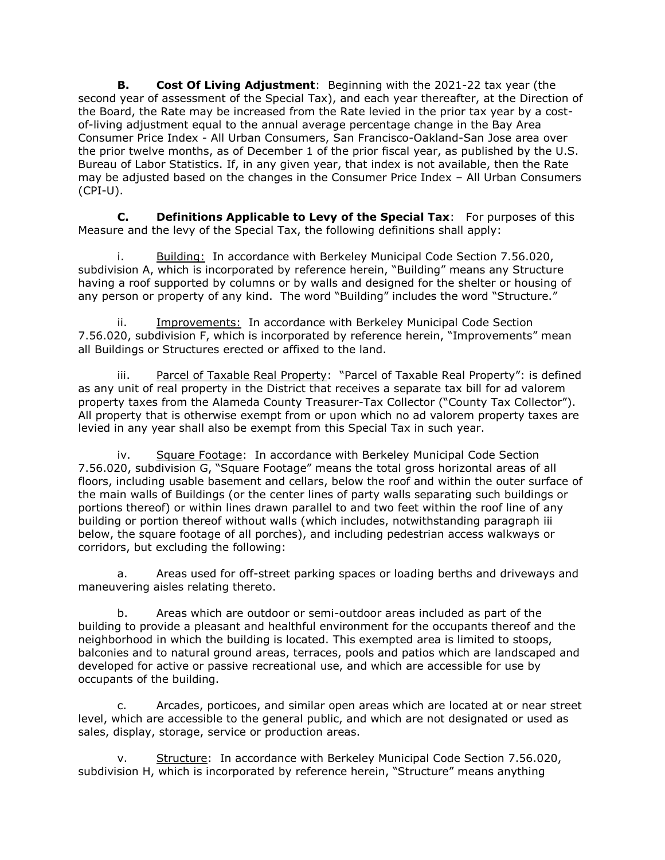**B. Cost Of Living Adjustment**:Beginning with the 2021-22 tax year (the second year of assessment of the Special Tax), and each year thereafter, at the Direction of the Board, the Rate may be increased from the Rate levied in the prior tax year by a costof-living adjustment equal to the annual average percentage change in the Bay Area Consumer Price Index - All Urban Consumers, San Francisco-Oakland-San Jose area over the prior twelve months, as of December 1 of the prior fiscal year, as published by the U.S. Bureau of Labor Statistics. If, in any given year, that index is not available, then the Rate may be adjusted based on the changes in the Consumer Price Index – All Urban Consumers  $(CPI-U)$ .

**C. Definitions Applicable to Levy of the Special Tax**:For purposes of this Measure and the levy of the Special Tax, the following definitions shall apply:

i. Building: In accordance with Berkeley Municipal Code Section 7.56.020, subdivision A, which is incorporated by reference herein, "Building" means any Structure having a roof supported by columns or by walls and designed for the shelter or housing of any person or property of any kind. The word "Building" includes the word "Structure."

ii. Improvements: In accordance with Berkeley Municipal Code Section 7.56.020, subdivision F, which is incorporated by reference herein, "Improvements" mean all Buildings or Structures erected or affixed to the land.

iii. Parcel of Taxable Real Property: "Parcel of Taxable Real Property": is defined as any unit of real property in the District that receives a separate tax bill for ad valorem property taxes from the Alameda County Treasurer-Tax Collector ("County Tax Collector"). All property that is otherwise exempt from or upon which no ad valorem property taxes are levied in any year shall also be exempt from this Special Tax in such year.

iv. Square Footage: In accordance with Berkeley Municipal Code Section 7.56.020, subdivision G, "Square Footage" means the total gross horizontal areas of all floors, including usable basement and cellars, below the roof and within the outer surface of the main walls of Buildings (or the center lines of party walls separating such buildings or portions thereof) or within lines drawn parallel to and two feet within the roof line of any building or portion thereof without walls (which includes, notwithstanding paragraph iii below, the square footage of all porches), and including pedestrian access walkways or corridors, but excluding the following:

a. Areas used for off-street parking spaces or loading berths and driveways and maneuvering aisles relating thereto.

b. Areas which are outdoor or semi-outdoor areas included as part of the building to provide a pleasant and healthful environment for the occupants thereof and the neighborhood in which the building is located. This exempted area is limited to stoops, balconies and to natural ground areas, terraces, pools and patios which are landscaped and developed for active or passive recreational use, and which are accessible for use by occupants of the building.

c. Arcades, porticoes, and similar open areas which are located at or near street level, which are accessible to the general public, and which are not designated or used as sales, display, storage, service or production areas.

v. Structure: In accordance with Berkeley Municipal Code Section 7.56.020, subdivision H, which is incorporated by reference herein, "Structure" means anything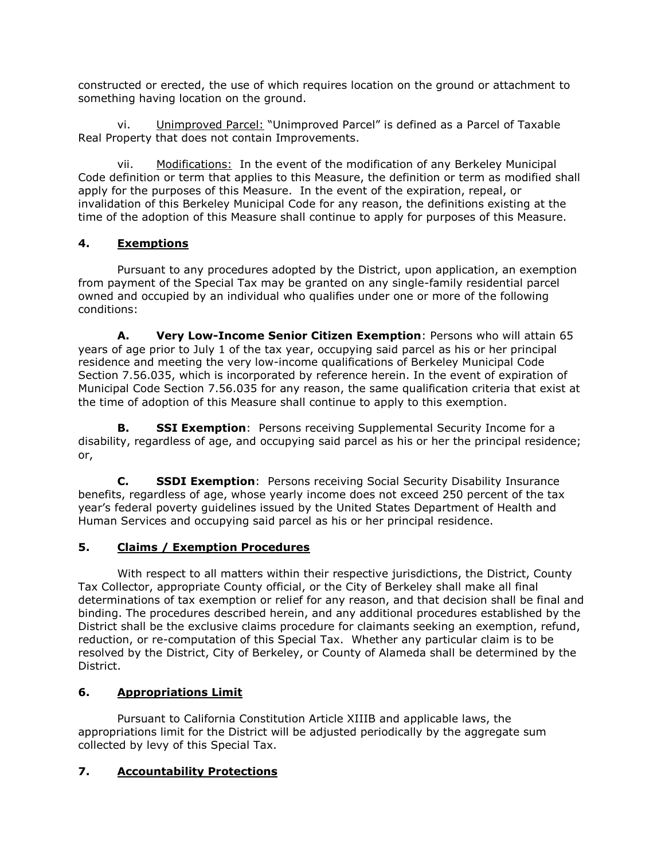constructed or erected, the use of which requires location on the ground or attachment to something having location on the ground.

vi. Unimproved Parcel: "Unimproved Parcel" is defined as a Parcel of Taxable Real Property that does not contain Improvements.

vii. Modifications: In the event of the modification of any Berkeley Municipal Code definition or term that applies to this Measure, the definition or term as modified shall apply for the purposes of this Measure. In the event of the expiration, repeal, or invalidation of this Berkeley Municipal Code for any reason, the definitions existing at the time of the adoption of this Measure shall continue to apply for purposes of this Measure.

## **4. Exemptions**

Pursuant to any procedures adopted by the District, upon application, an exemption from payment of the Special Tax may be granted on any single-family residential parcel owned and occupied by an individual who qualifies under one or more of the following conditions:

**A. Very Low-Income Senior Citizen Exemption**: Persons who will attain 65 years of age prior to July 1 of the tax year, occupying said parcel as his or her principal residence and meeting the very low-income qualifications of Berkeley Municipal Code Section 7.56.035, which is incorporated by reference herein. In the event of expiration of Municipal Code Section 7.56.035 for any reason, the same qualification criteria that exist at the time of adoption of this Measure shall continue to apply to this exemption.

**B. SSI Exemption**: Persons receiving Supplemental Security Income for a disability, regardless of age, and occupying said parcel as his or her the principal residence; or,

**C. SSDI Exemption**: Persons receiving Social Security Disability Insurance benefits, regardless of age, whose yearly income does not exceed 250 percent of the tax year's federal poverty guidelines issued by the United States Department of Health and Human Services and occupying said parcel as his or her principal residence.

### **5. Claims / Exemption Procedures**

With respect to all matters within their respective jurisdictions, the District, County Tax Collector, appropriate County official, or the City of Berkeley shall make all final determinations of tax exemption or relief for any reason, and that decision shall be final and binding. The procedures described herein, and any additional procedures established by the District shall be the exclusive claims procedure for claimants seeking an exemption, refund, reduction, or re-computation of this Special Tax. Whether any particular claim is to be resolved by the District, City of Berkeley, or County of Alameda shall be determined by the District.

## **6. Appropriations Limit**

Pursuant to California Constitution Article XIIIB and applicable laws, the appropriations limit for the District will be adjusted periodically by the aggregate sum collected by levy of this Special Tax.

### **7. Accountability Protections**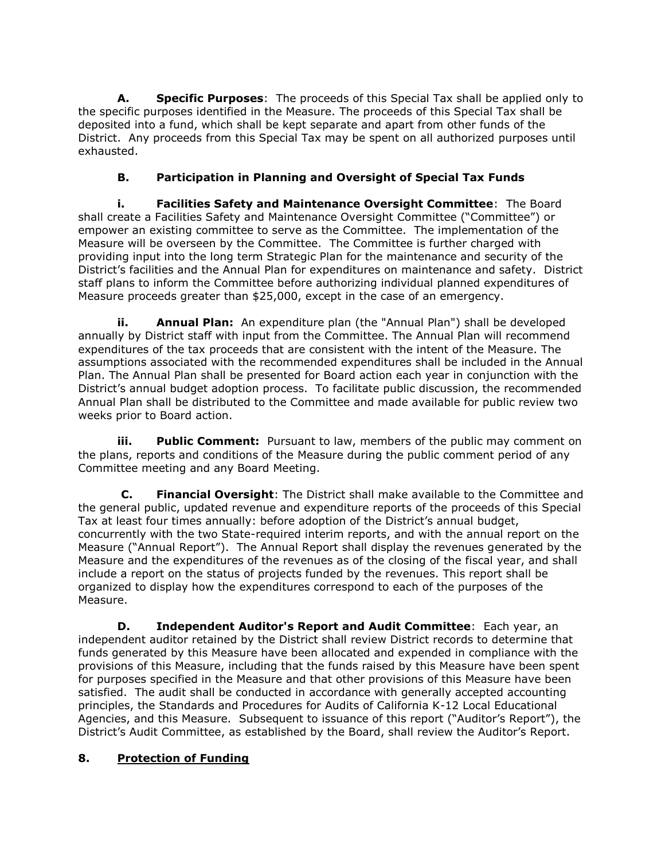**A. Specific Purposes**: The proceeds of this Special Tax shall be applied only to the specific purposes identified in the Measure. The proceeds of this Special Tax shall be deposited into a fund, which shall be kept separate and apart from other funds of the District. Any proceeds from this Special Tax may be spent on all authorized purposes until exhausted.

# **B. Participation in Planning and Oversight of Special Tax Funds**

**i. Facilities Safety and Maintenance Oversight Committee**: The Board shall create a Facilities Safety and Maintenance Oversight Committee ("Committee") or empower an existing committee to serve as the Committee. The implementation of the Measure will be overseen by the Committee. The Committee is further charged with providing input into the long term Strategic Plan for the maintenance and security of the District's facilities and the Annual Plan for expenditures on maintenance and safety. District staff plans to inform the Committee before authorizing individual planned expenditures of Measure proceeds greater than \$25,000, except in the case of an emergency.

**ii. Annual Plan:** An expenditure plan (the "Annual Plan") shall be developed annually by District staff with input from the Committee. The Annual Plan will recommend expenditures of the tax proceeds that are consistent with the intent of the Measure. The assumptions associated with the recommended expenditures shall be included in the Annual Plan. The Annual Plan shall be presented for Board action each year in conjunction with the District's annual budget adoption process. To facilitate public discussion, the recommended Annual Plan shall be distributed to the Committee and made available for public review two weeks prior to Board action.

**iii. Public Comment:** Pursuant to law, members of the public may comment on the plans, reports and conditions of the Measure during the public comment period of any Committee meeting and any Board Meeting.

**C. Financial Oversight**: The District shall make available to the Committee and the general public, updated revenue and expenditure reports of the proceeds of this Special Tax at least four times annually: before adoption of the District's annual budget, concurrently with the two State-required interim reports, and with the annual report on the Measure ("Annual Report"). The Annual Report shall display the revenues generated by the Measure and the expenditures of the revenues as of the closing of the fiscal year, and shall include a report on the status of projects funded by the revenues. This report shall be organized to display how the expenditures correspond to each of the purposes of the Measure.

**D. Independent Auditor's Report and Audit Committee**: Each year, an independent auditor retained by the District shall review District records to determine that funds generated by this Measure have been allocated and expended in compliance with the provisions of this Measure, including that the funds raised by this Measure have been spent for purposes specified in the Measure and that other provisions of this Measure have been satisfied. The audit shall be conducted in accordance with generally accepted accounting principles, the Standards and Procedures for Audits of California K-12 Local Educational Agencies, and this Measure. Subsequent to issuance of this report ("Auditor's Report"), the District's Audit Committee, as established by the Board, shall review the Auditor's Report.

## **8. Protection of Funding**